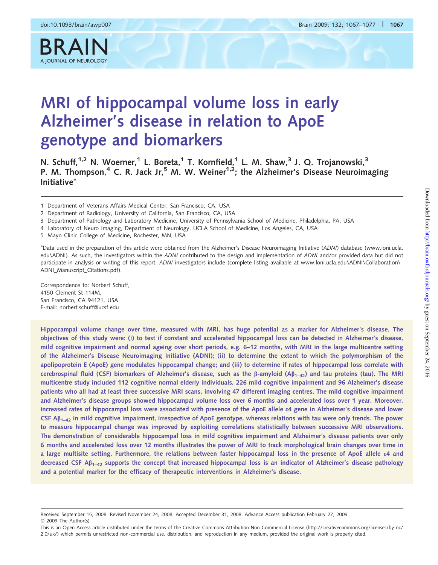

# MRI of hippocampal volume loss in early Alzheimer's disease in relation to ApoE genotype and biomarkers

N. Schuff,<sup>1,2</sup> N. Woerner,<sup>1</sup> L. Boreta,<sup>1</sup> T. Kornfield,<sup>1</sup> L. M. Shaw,<sup>3</sup> J. Q. Trojanowski,<sup>3</sup> P. M. Thompson,<sup>4</sup> C. R. Jack Jr,<sup>5</sup> M. W. Weiner<sup>1,2</sup>; the Alzheimer's Disease Neuroimaging Initiative

- 3 Department of Pathology and Laboratory Medicine, University of Pennsylvania School of Medicine, Philadelphia, PA, USA
- 4 Laboratory of Neuro Imaging, Department of Neurology, UCLA School of Medicine, Los Angeles, CA, USA
- 5 Mayo Clinic College of Medicine, Rochester, MN, USA

\*Data used in the preparation of this article were obtained from the Alzheimer's Disease Neuroimaging Initiative (ADNI) database (www.loni.ucla. edu\ADNI). As such, the investigators within the ADNI contributed to the design and implementation of ADNI and/or provided data but did not participate in analysis or writing of this report. ADNI investigators include (complete listing available at www.loni.ucla.edu\ADNI\Collaboration\ ADNI\_Manuscript\_Citations.pdf).

Correspondence to: Norbert Schuff, 4150 Clement St 114M, San Francisco, CA 94121, USA E-mail: norbert.schuff@ucsf.edu

Hippocampal volume change over time, measured with MRI, has huge potential as a marker for Alzheimer's disease. The objectives of this study were: (i) to test if constant and accelerated hippocampal loss can be detected in Alzheimer's disease, mild cognitive impairment and normal ageing over short periods, e.g. 6–12 months, with MRI in the large multicentre setting of the Alzheimer's Disease Neuroimaging Initiative (ADNI); (ii) to determine the extent to which the polymorphism of the apolipoprotein E (ApoE) gene modulates hippocampal change; and (iii) to determine if rates of hippocampal loss correlate with cerebrospinal fluid (CSF) biomarkers of Alzheimer's disease, such as the  $\beta$ -amyloid (A $\beta$ <sub>1–42</sub>) and tau proteins (tau). The MRI multicentre study included 112 cognitive normal elderly individuals, 226 mild cognitive impairment and 96 Alzheimer's disease patients who all had at least three successive MRI scans, involving 47 different imaging centres. The mild cognitive impairment and Alzheimer's disease groups showed hippocampal volume loss over 6 months and accelerated loss over 1 year. Moreover, increased rates of hippocampal loss were associated with presence of the ApoE allele  $\varepsilon$ 4 gene in Alzheimer's disease and lower CSF  $\beta_{1-42}$  in mild cognitive impairment, irrespective of ApoE genotype, whereas relations with tau were only trends. The power to measure hippocampal change was improved by exploiting correlations statistically between successive MRI observations. The demonstration of considerable hippocampal loss in mild cognitive impairment and Alzheimer's disease patients over only 6 months and accelerated loss over 12 months illustrates the power of MRI to track morphological brain changes over time in a large multisite setting. Furthermore, the relations between faster hippocampal loss in the presence of ApoE allele  $\varepsilon 4$  and decreased CSF  $AB_{1-42}$  supports the concept that increased hippocampal loss is an indicator of Alzheimer's disease pathology and a potential marker for the efficacy of therapeutic interventions in Alzheimer's disease.

<sup>1</sup> Department of Veterans Affairs Medical Center, San Francisco, CA, USA

<sup>2</sup> Department of Radiology, University of California, San Francisco, CA, USA

Received September 15, 2008. Revised November 24, 2008. Accepted December 31, 2008. Advance Access publication February 27, 2009 2009 The Author(s)

This is an Open Access article distributed under the terms of the Creative Commons Attribution Non-Commercial License (<http://creativecommons.org/licenses/by-nc/> 2.0/uk/) which permits unrestricted non-commercial use, distribution, and reproduction in any medium, provided the original work is properly cited.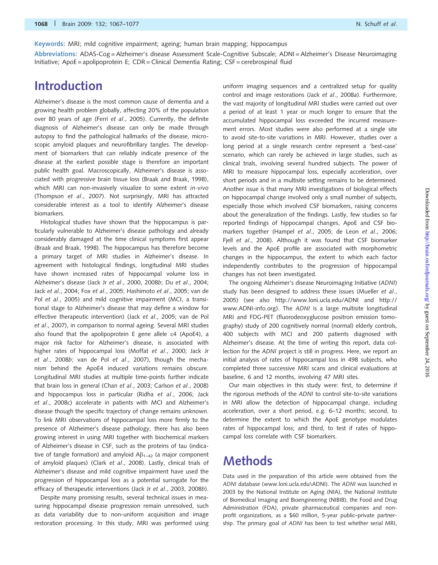Keywords: MRI; mild cognitive impairment; ageing; human brain mapping; hippocampus

Abbreviations: ADAS-Cog = Alzheimer's disease Assessment Scale-Cognitive Subscale; ADNI = Alzheimer's Disease Neuroimaging Initiative; ApoE = apolipoprotein E; CDR = Clinical Dementia Rating; CSF = cerebrospinal fluid

### Introduction

Alzheimer's disease is the most common cause of dementia and a growing health problem globally, affecting 20% of the population over 80 years of age (Ferri et al., 2005). Currently, the definite diagnosis of Alzheimer's disease can only be made through autopsy to find the pathological hallmarks of the disease, microscopic amyloid plaques and neurofibrillary tangles. The development of biomarkers that can reliably indicate presence of the disease at the earliest possible stage is therefore an important public health goal. Macroscopically, Alzheimer's disease is associated with progressive brain tissue loss (Braak and Braak, 1998), which MRI can non-invasively visualize to some extent in-vivo (Thompson et al., 2007). Not surprisingly, MRI has attracted considerable interest as a tool to identify Alzheimer's disease biomarkers.

Histological studies have shown that the hippocampus is particularly vulnerable to Alzheimer's disease pathology and already considerably damaged at the time clinical symptoms first appear (Braak and Braak, 1998). The hippocampus has therefore become a primary target of MRI studies in Alzheimer's disease. In agreement with histological findings, longitudinal MRI studies have shown increased rates of hippocampal volume loss in Alzheimer's disease (Jack Jr et al., 2000, 2008b; Du et al., 2004; Jack et al., 2004; Fox et al., 2005; Hashimoto et al., 2005; van de Pol et al., 2005) and mild cognitive impairment (MCI, a transitional stage to Alzheimer's disease that may define a window for effective therapeutic intervention) (Jack et al., 2005; van de Pol et al., 2007), in comparison to normal ageing. Several MRI studies also found that the apolipoprotein E gene allele  $\varepsilon$ 4 (ApoE4), a major risk factor for Alzheimer's disease, is associated with higher rates of hippocampal loss (Moffat et al., 2000; Jack Jr et al., 2008b; van de Pol et al., 2007), though the mechanism behind the ApoE4 induced variations remains obscure. Longitudinal MRI studies at multiple time-points further indicate that brain loss in general (Chan et al., 2003; Carlson et al., 2008) and hippocampus loss in particular (Ridha et al., 2006; Jack et al., 2008c) accelerate in patients with MCI and Alzheimer's disease though the specific trajectory of change remains unknown. To link MRI observations of hippocampal loss more firmly to the presence of Alzheimer's disease pathology, there has also been growing interest in using MRI together with biochemical markers of Alzheimer's disease in CSF, such as the proteins of tau (indicative of tangle formation) and amyloid  $\mathsf{A}\beta_{1-42}$  (a major component of amyloid plaques) (Clark et al., 2008). Lastly, clinical trials of Alzheimer's disease and mild cognitive impairment have used the progression of hippocampal loss as a potential surrogate for the efficacy of therapeutic interventions (Jack Jr et al., 2003, 2008b).

Despite many promising results, several technical issues in measuring hippocampal disease progression remain unresolved, such as data variability due to non-uniform acquisition and image restoration processing. In this study, MRI was performed using

uniform imaging sequences and a centralized setup for quality control and image restorations (Jack et al., 2008a). Furthermore, the vast majority of longitudinal MRI studies were carried out over a period of at least 1 year or much longer to ensure that the accumulated hippocampal loss exceeded the incurred measurement errors. Most studies were also performed at a single site to avoid site-to-site variations in MRI. However, studies over a long period at a single research centre represent a 'best-case' scenario, which can rarely be achieved in large studies, such as clinical trials, involving several hundred subjects. The power of MRI to measure hippocampal loss, especially acceleration, over short periods and in a multisite setting remains to be determined. Another issue is that many MRI investigations of biological effects on hippocampal change involved only a small number of subjects, especially those which involved CSF biomarkers, raising concerns about the generalization of the findings. Lastly, few studies so far reported findings of hippocampal changes, ApoE and CSF biomarkers together (Hampel et al., 2005; de Leon et al., 2006; Fjell et al., 2008). Although it was found that CSF biomarker levels and the ApoE profile are associated with morphometric changes in the hippocampus, the extent to which each factor independently contributes to the progression of hippocampal changes has not been investigated.

The ongoing Alzheimer's disease Neuroimaging Initiative (ADNI) study has been designed to address these issues (Mueller et al., 2005) (see also<http://www.loni.ucla.edu/ADNI> and<http://> www.ADNI-info.org). The ADNI is a large multisite longitudinal MRI and FDG-PET (fluorodeoxyglucose positron emission tomography) study of 200 cognitively normal (normal) elderly controls, 400 subjects with MCI and 200 patients diagnosed with Alzheimer's disease. At the time of writing this report, data collection for the ADNI project is still in progress. Here, we report an initial analysis of rates of hippocampal loss in 498 subjects, who completed three successive MRI scans and clinical evaluations at baseline, 6 and 12 months, involving 47 MRI sites.

Our main objectives in this study were: first, to determine if the rigorous methods of the ADNI to control site-to-site variations in MRI allow the detection of hippocampal change, including acceleration, over a short period, e.g. 6–12 months; second, to determine the extent to which the ApoE genotype modulates rates of hippocampal loss; and third, to test if rates of hippocampal loss correlate with CSF biomarkers.

# Methods

Data used in the preparation of this article were obtained from the ADNI database (www.loni.ucla.edu\ADNI). The ADNI was launched in 2003 by the National Institute on Aging (NIA), the National Institute of Biomedical Imaging and Bioengineering (NIBIB), the Food and Drug Administration (FDA), private pharmaceutical companies and nonprofit organizations, as a \$60 million, 5-year public–private partnership. The primary goal of ADNI has been to test whether serial MRI,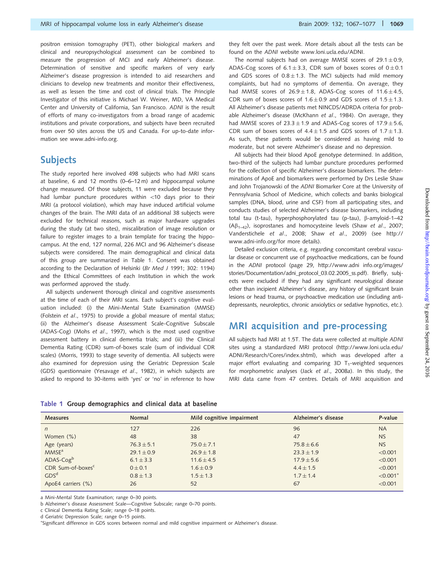positron emission tomography (PET), other biological markers and clinical and neuropsychological assessment can be combined to measure the progression of MCI and early Alzheimer's disease. Determination of sensitive and specific markers of very early Alzheimer's disease progression is intended to aid researchers and clinicians to develop new treatments and monitor their effectiveness, as well as lessen the time and cost of clinical trials. The Principle Investigator of this initiative is Michael W. Weiner, MD, VA Medical Center and University of California, San Francisco. ADNI is the result of efforts of many co-investigators from a broad range of academic institutions and private corporations, and subjects have been recruited from over 50 sites across the US and Canada. For up-to-date information see www.adni-info.org.

#### **Subjects**

The study reported here involved 498 subjects who had MRI scans at baseline, 6 and 12 months (0–6–12 m) and hippocampal volume change measured. Of those subjects, 11 were excluded because they had lumbar puncture procedures within  $<$ 10 days prior to their MRI (a protocol violation), which may have induced artificial volume changes of the brain. The MRI data of an additional 38 subjects were excluded for technical reasons, such as major hardware upgrades during the study (at two sites), miscalibration of image resolution or failure to register images to a brain template for tracing the hippocampus. At the end, 127 normal, 226 MCI and 96 Alzheimer's disease subjects were considered. The main demographical and clinical data of this group are summarized in Table 1. Consent was obtained according to the Declaration of Helsinki (Br Med J 1991; 302: 1194) and the Ethical Committees of each Institution in which the work was performed approved the study.

All subjects underwent thorough clinical and cognitive assessments at the time of each of their MRI scans. Each subject's cognitive evaluation included: (i) the Mini-Mental State Examination (MMSE) (Folstein et al., 1975) to provide a global measure of mental status; (ii) the Alzheimer's disease Assessment Scale-Cognitive Subscale (ADAS-Cog) (Mohs et al., 1997), which is the most used cognitive assessment battery in clinical dementia trials; and (iii) the Clinical Dementia Rating (CDR) sum-of-boxes scale (sum of individual CDR scales) (Morris, 1993) to stage severity of dementia. All subjects were also examined for depression using the Geriatric Depression Scale (GDS) questionnaire (Yesavage et al., 1982), in which subjects are asked to respond to 30-items with 'yes' or 'no' in reference to how

they felt over the past week. More details about all the tests can be found on the ADNI website www.loni.ucla.edu/ADNI.

The normal subjects had on average MMSE scores of 29.1 $\pm$ 0.9, ADAS-Cog scores of 6.1 $\pm$ 3.3, CDR sum of boxes scores of 0 $\pm$ 0.1 and GDS scores of  $0.8 \pm 1.3$ . The MCI subjects had mild memory complaints, but had no symptoms of dementia. On average, they had MMSE scores of  $26.9 \pm 1.8$ , ADAS-Cog scores of  $11.6 \pm 4.5$ , CDR sum of boxes scores of  $1.6 \pm 0.9$  and GDS scores of  $1.5 \pm 1.3$ . All Alzheimer's disease patients met NINCDS/ADRDA criteria for probable Alzheimer's disease (McKhann et al., 1984). On average, they had MMSE scores of 23.3 $\pm$ 1.9 and ADAS-Cog scores of 17.9 $\pm$ 5.6, CDR sum of boxes scores of  $4.4 \pm 1.5$  and GDS scores of  $1.7 \pm 1.3$ . As such, these patients would be considered as having mild to moderate, but not severe Alzheimer's disease and no depression.

All subjects had their blood ApoE genotype determined. In addition, two-third of the subjects had lumbar puncture procedures performed for the collection of specific Alzheimer's disease biomarkers. The determinations of ApoE and biomarkers were performed by Drs Leslie Shaw and John Trojanowski of the ADNI Biomarker Core at the University of Pennsylvania School of Medicine, which collects and banks biological samples (DNA, blood, urine and CSF) from all participating sites, and conducts studies of selected Alzheimer's disease biomarkers, including total tau (t-tau), hyperphosphorylated tau (p-tau),  $\beta$ -amyloid-1-42  $(A\beta_{1-42})$ , isoprostanes and homocysteine levels (Shaw et al., 2007; Vanderstichele et al., 2008; Shaw et al., 2009) (see<http://> www.adni-info.org/for more details).

Detailed exclusion criteria, e.g. regarding concomitant cerebral vascular disease or concurrent use of psychoactive medications, can be found in the ADNI protocol (page 29,<http://www.adni> info.org/images/ stories/Documentation/adni\_protocol\_03.02.2005\_ss.pdf). Briefly, subjects were excluded if they had any significant neurological disease other than incipient Alzheimer's disease, any history of significant brain lesions or head trauma, or psychoactive medication use (including antidepressants, neuroleptics, chronic anxiolytics or sedative hypnotics, etc.).

### MRI acquisition and pre-processing

All subjects had MRI at 1.5T. The data were collected at multiple ADNI sites using a standardized MRI protocol [\(http://www.loni.ucla.edu/](http://www.loni.ucla.edu/) ADNI/Research/Cores/index.shtml), which was developed after a major effort evaluating and comparing 3D  $T_1$ -weighted sequences for morphometric analyses (Jack et al., 2008a). In this study, the MRI data came from 47 centres. Details of MRI acquisition and

|  |  | Table 1 Group demographics and clinical data at baseline |  |  |  |  |  |
|--|--|----------------------------------------------------------|--|--|--|--|--|
|--|--|----------------------------------------------------------|--|--|--|--|--|

| <b>Measures</b>               | Normal         | Mild cognitive impairment | Alzheimer's disease | P-value                |
|-------------------------------|----------------|---------------------------|---------------------|------------------------|
| $\mathsf{n}$                  | 127            | 226                       | 96                  | <b>NA</b>              |
| Women (%)                     | 48             | 38                        | 47                  | <b>NS</b>              |
| Age (years)                   | $76.3 + 5.1$   | $75.0 + 7.1$              | $75.8 + 6.6$        | <b>NS</b>              |
| MMSE <sup>a</sup>             | $29.1 \pm 0.9$ | $26.9 + 1.8$              | $23.3 \pm 1.9$      | < 0.001                |
| $ADAS-Cogb$                   | $6.1 \pm 3.3$  | $11.6 + 4.5$              | $17.9 + 5.6$        | < 0.001                |
| CDR Sum-of-boxes <sup>c</sup> | $0 \pm 0.1$    | $1.6 \pm 0.9$             | $4.4 \pm 1.5$       | < 0.001                |
| GDS <sup>d</sup>              | $0.8 + 1.3$    | $1.5 + 1.3$               | $1.7 + 1.4$         | $< 0.001$ <sup>*</sup> |
| ApoE4 carriers (%)            | 26             | 52                        | 67                  | < 0.001                |

a Mini-Mental State Examination; range 0–30 points.

b Alzheimer's disease Assessment Scale—Cognitive Subscale; range 0–70 points.

c Clinical Dementia Rating Scale; range 0–18 points.

d Geriatric Depression Scale; range 0–15 points.

Significant difference in GDS scores between normal and mild cognitive impairment or Alzheimer's disease.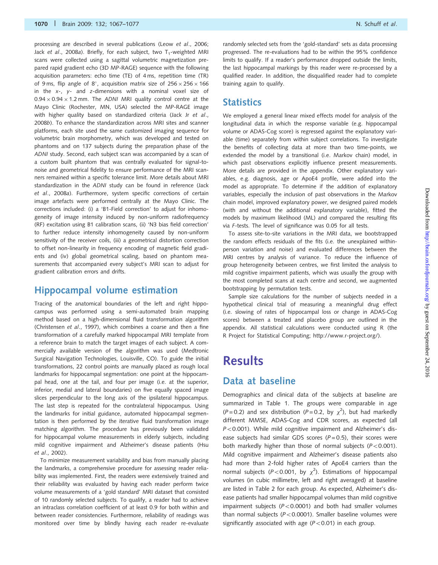processing are described in several publications (Leow et al., 2006; Jack et al., 2008a). Briefly, for each subject, two  $T_1$ -weighted MRI scans were collected using a sagittal volumetric magnetization prepared rapid gradient echo (3D MP-RAGE) sequence with the following acquisition parameters: echo time (TE) of 4 ms, repetition time (TR) of 9 ms, flip angle of 8°, acquisition matrix size of  $256 \times 256 \times 166$ in the x-, y- and z-dimensions with a nominal voxel size of  $0.94 \times 0.94 \times 1.2$  mm. The ADNI MRI quality control centre at the Mayo Clinic (Rochester, MN, USA) selected the MP-RAGE image with higher quality based on standardized criteria (Jack Jr et al., 2008b). To enhance the standardization across MRI sites and scanner platforms, each site used the same customized imaging sequence for volumetric brain morphometry, which was developed and tested on phantoms and on 137 subjects during the preparation phase of the ADNI study. Second, each subject scan was accompanied by a scan of a custom built phantom that was centrally evaluated for signal-tonoise and geometrical fidelity to ensure performance of the MRI scanners remained within a specific tolerance limit. More details about MRI standardization in the ADNI study can be found in reference (Jack et al., 2008a). Furthermore, system specific corrections of certain image artefacts were performed centrally at the Mayo Clinic. The corrections included: (i) a 'B1-Field correction' to adjust for inhomogeneity of image intensity induced by non-uniform radiofrequency (RF) excitation using B1 calibration scans, (ii) 'N3 bias field correction' to further reduce intensity inhomogeneity caused by non-uniform sensitivity of the receiver coils, (iii) a geometrical distortion correction to offset non-linearity in frequency encoding of magnetic field gradients and (iv) global geometrical scaling, based on phantom measurements that accompanied every subject's MRI scan to adjust for gradient calibration errors and drifts.

#### Hippocampal volume estimation

Tracing of the anatomical boundaries of the left and right hippocampus was performed using a semi-automated brain mapping method based on a high-dimensional fluid transformation algorithm (Christensen et al., 1997), which combines a coarse and then a fine transformation of a carefully marked hippocampal MRI template from a reference brain to match the target images of each subject. A commercially available version of the algorithm was used (Medtronic Surgical Navigation Technologies, Louisville, CO). To guide the initial transformations, 22 control points are manually placed as rough local landmarks for hippocampal segmentation: one point at the hippocampal head, one at the tail, and four per image (i.e. at the superior, inferior, medial and lateral boundaries) on five equally spaced image slices perpendicular to the long axis of the ipsilateral hippocampus. The last step is repeated for the contralateral hippocampus. Using the landmarks for initial guidance, automated hippocampal segmentation is then performed by the iterative fluid transformation image matching algorithm. The procedure has previously been validated for hippocampal volume measurements in elderly subjects, including mild cognitive impairment and Alzheimer's disease patients (Hsu et al., 2002).

To minimize measurement variability and bias from manually placing the landmarks, a comprehensive procedure for assessing reader reliability was implemented. First, the readers were extensively trained and their reliability was evaluated by having each reader perform twice volume measurements of a 'gold standard' MRI dataset that consisted of 10 randomly selected subjects. To qualify, a reader had to achieve an intraclass correlation coefficient of at least 0.9 for both within and between reader consistencies. Furthermore, reliability of readings was monitored over time by blindly having each reader re-evaluate

randomly selected sets from the 'gold-standard' sets as data processing progressed. The re-evaluations had to be within the 95% confidence limits to qualify. If a reader's performance dropped outside the limits, the last hippocampal markings by this reader were re-processed by a qualified reader. In addition, the disqualified reader had to complete training again to qualify.

#### **Statistics**

We employed a general linear mixed effects model for analysis of the longitudinal data in which the response variable (e.g. hippocampal volume or ADAS-Cog score) is regressed against the explanatory variable (time) separately from within subject correlations. To investigate the benefits of collecting data at more than two time-points, we extended the model by a transitional (i.e. Markov chain) model, in which past observations explicitly influence present measurements. More details are provided in the appendix. Other explanatory variables, e.g. diagnosis, age or ApoE4 profile, were added into the model as appropriate. To determine if the addition of explanatory variables, especially the inclusion of past observations in the Markov chain model, improved explanatory power, we designed paired models (with and without the additional explanatory variable), fitted the models by maximum likelihood (ML) and compared the resulting fits via F-tests. The level of significance was 0.05 for all tests.

To assess site-to-site variations in the MRI data, we bootstrapped the random effects residuals of the fits (i.e. the unexplained withinperson variation and noise) and evaluated differences between the MRI centres by analysis of variance. To reduce the influence of group heterogeneity between centres, we first limited the analysis to mild cognitive impairment patients, which was usually the group with the most completed scans at each centre and second, we augmented bootstrapping by permutation tests.

Sample size calculations for the number of subjects needed in a hypothetical clinical trial of measuring a meaningful drug effect (i.e. slowing of rates of hippocampal loss or change in ADAS-Cog scores) between a treated and placebo group are outlined in the appendix. All statistical calculations were conducted using R (the R Project for Statistical Computing;<http://www.r-project.org/>).

# Results

#### Data at baseline

Demographics and clinical data of the subjects at baseline are summarized in Table 1. The groups were comparable in age (P = 0.2) and sex distribution (P = 0.2, by  $\chi^2$ ), but had markedly different MMSE, ADAS-Cog and CDR scores, as expected (all  $P < 0.001$ ). While mild cognitive impairment and Alzheimer's disease subjects had similar GDS scores ( $P = 0.5$ ), their scores were both markedly higher than those of normal subjects ( $P < 0.001$ ). Mild cognitive impairment and Alzheimer's disease patients also had more than 2-fold higher rates of ApoE4 carriers than the normal subjects (P<0.001, by  $\chi^2$ ). Estimations of hippocampal volumes (in cubic millimetre, left and right averaged) at baseline are listed in Table 2 for each group. As expected, Alzheimer's disease patients had smaller hippocampal volumes than mild cognitive impairment subjects ( $P < 0.0001$ ) and both had smaller volumes than normal subjects ( $P < 0.0001$ ). Smaller baseline volumes were significantly associated with age ( $P < 0.01$ ) in each group.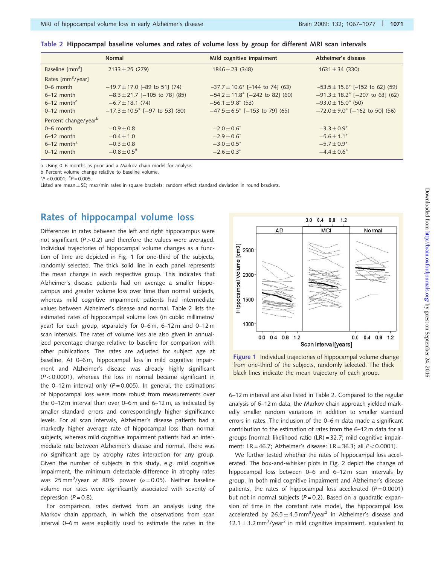|                                  | Normal                                         | Mild cognitive impairment                  | Alzheimer's disease                        |  |  |  |  |
|----------------------------------|------------------------------------------------|--------------------------------------------|--------------------------------------------|--|--|--|--|
| Baseline $\text{[mm}^3$ ]        | $2133 \pm 25$ (279)                            | $1846 \pm 23$ (348)                        | $1631 \pm 34$ (330)                        |  |  |  |  |
| Rates [mm <sup>3</sup> /year]    |                                                |                                            |                                            |  |  |  |  |
| $0-6$ month                      | $-19.7 \pm 17.0$ [-89 to 51] (74)              | $-37.7 \pm 10.6^{\circ}$ [-144 to 74] (63) | $-53.5 \pm 15.6^{\circ}$ [-152 to 62] (59) |  |  |  |  |
| $6-12$ month                     | $-8.3 \pm 21.7$ [-105 to 78] (85)              | $-54.2 \pm 11.8$ [-242 to 82] (60)         | $-91.3 \pm 18.2^{\circ}$ [-207 to 63] (62) |  |  |  |  |
| $6-12$ month <sup>a</sup>        | $-6.7 \pm 18.1$ (74)                           | $-56.1 \pm 9.8^*$ (53)                     | $-93.0 \pm 15.0^*$ (50)                    |  |  |  |  |
| $0-12$ month                     | $-17.3 \pm 10.5$ <sup>#</sup> [-97 to 53] (80) | $-47.5 \pm 6.5$ [-153 to 79] (65)          | $-72.0 \pm 9.0$ [-162 to 50] (56)          |  |  |  |  |
| Percent change/year <sup>b</sup> |                                                |                                            |                                            |  |  |  |  |
| $0-6$ month                      | $-0.9 \pm 0.8$                                 | $-2.0 \pm 0.6^*$                           | $-3.3 \pm 0.9^*$                           |  |  |  |  |
| $6-12$ month                     | $-0.4 \pm 1.0$                                 | $-2.9 \pm 0.6^*$                           | $-5.6 \pm 1.1$ <sup>*</sup>                |  |  |  |  |
| $6-12$ month <sup>a</sup>        | $-0.3 + 0.8$                                   | $-3.0 \pm 0.5^*$                           | $-5.7 + 0.9*$                              |  |  |  |  |
| $0-12$ month                     | $-0.8 + 0.5$ <sup>#</sup>                      | $-2.6 \pm 0.3^*$                           | $-4.4 + 0.6^*$                             |  |  |  |  |

| Table 2 Hippocampal baseline volumes and rates of volume loss by group for different MRI scan intervals |  |  |  |  |  |  |  |  |  |  |  |  |  |  |  |  |
|---------------------------------------------------------------------------------------------------------|--|--|--|--|--|--|--|--|--|--|--|--|--|--|--|--|
|---------------------------------------------------------------------------------------------------------|--|--|--|--|--|--|--|--|--|--|--|--|--|--|--|--|

a Using 0–6 months as prior and a Markov chain model for analysis.

b Percent volume change relative to baseline volume.

 $P$  < 0.0001;  ${}^{#}P$  = 0.005.

Listed are mean $\pm$ SE; max/min rates in square brackets; random effect standard deviation in round brackets.

### Rates of hippocampal volume loss

Differences in rates between the left and right hippocampus were not significant ( $P > 0.2$ ) and therefore the values were averaged. Individual trajectories of hippocampal volume changes as a function of time are depicted in Fig. 1 for one-third of the subjects, randomly selected. The thick solid line in each panel represents the mean change in each respective group. This indicates that Alzheimer's disease patients had on average a smaller hippocampus and greater volume loss over time than normal subjects, whereas mild cognitive impairment patients had intermediate values between Alzheimer's disease and normal. Table 2 lists the estimated rates of hippocampal volume loss (in cublic millimetre/ year) for each group, separately for 0–6 m, 6–12 m and 0–12 m scan intervals. The rates of volume loss are also given in annualized percentage change relative to baseline for comparison with other publications. The rates are adjusted for subject age at baseline. At 0–6 m, hippocampal loss in mild cognitive impairment and Alzheimer's disease was already highly significant  $(P<0.0001)$ , whereas the loss in normal became significant in the 0–12 m interval only ( $P = 0.005$ ). In general, the estimations of hippocampal loss were more robust from measurements over the 0–12 m interval than over 0–6 m and 6–12 m, as indicated by smaller standard errors and correspondingly higher significance levels. For all scan intervals, Alzheimer's disease patients had a markedly higher average rate of hippocampal loss than normal subjects, whereas mild cognitive impairment patients had an intermediate rate between Alzheimer's disease and normal. There was no significant age by atrophy rates interaction for any group. Given the number of subjects in this study, e.g. mild cognitive impairment, the minimum detectable difference in atrophy rates was 25 mm $^3$ /year at 80% power ( $\alpha$ =0.05). Neither baseline volume nor rates were significantly associated with severity of depression  $(P = 0.8)$ .

For comparison, rates derived from an analysis using the Markov chain approach, in which the observations from scan interval 0–6 m were explicitly used to estimate the rates in the



Figure 1 Individual trajectories of hippocampal volume change from one-third of the subjects, randomly selected. The thick black lines indicate the mean trajectory of each group.

6–12 m interval are also listed in Table 2. Compared to the regular analysis of 6–12 m data, the Markov chain approach yielded markedly smaller random variations in addition to smaller standard errors in rates. The inclusion of the 0–6 m data made a significant contribution to the estimation of rates from the 6–12 m data for all groups [normal: likelihood ratio (LR) = 32.7; mild cognitive impairment: LR = 46.7; Alzheimer's disease: LR = 36.3; all  $P < 0.0001$ ].

We further tested whether the rates of hippocampal loss accelerated. The box-and-whisker plots in Fig. 2 depict the change of hippocampal loss between 0–6 and 6–12 m scan intervals by group. In both mild cognitive impairment and Alzheimer's disease patients, the rates of hippocampal loss accelerated ( $P = 0.0001$ ) but not in normal subjects ( $P = 0.2$ ). Based on a quadratic expansion of time in the constant rate model, the hippocampal loss accelerated by  $26.5 \pm 4.5$  mm<sup>3</sup>/year<sup>2</sup> in Alzheimer's disease and  $12.1 \pm 3.2$  mm<sup>3</sup>/year<sup>2</sup> in mild cognitive impairment, equivalent to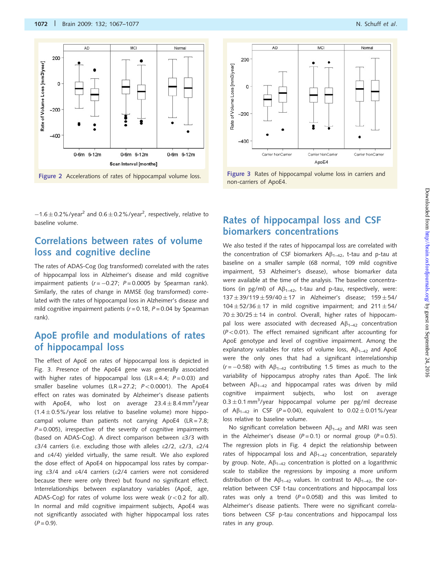



Figure 3 Rates of hippocampal volume loss in carriers and

 $-1.6 \pm 0.2\%$ /year<sup>2</sup> and 0.6  $\pm$  0.2%/year<sup>2</sup>, respectively, relative to baseline volume.

### Correlations between rates of volume loss and cognitive decline

The rates of ADAS-Cog (log transformed) correlated with the rates of hippocampal loss in Alzheimer's disease and mild cognitive impairment patients ( $r = -0.27$ ;  $P = 0.0005$  by Spearman rank). Similarly, the rates of change in MMSE (log transformed) correlated with the rates of hippocampal loss in Alzheimer's disease and mild cognitive impairment patients ( $r = 0.18$ ,  $P = 0.04$  by Spearman rank).

### ApoE profile and modulations of rates of hippocampal loss

The effect of ApoE on rates of hippocampal loss is depicted in Fig. 3. Presence of the ApoE4 gene was generally associated with higher rates of hippocampal loss (LR = 4.4;  $P = 0.03$ ) and smaller baseline volumes (LR = 27.2;  $P < 0.0001$ ). The ApoE4 effect on rates was dominated by Alzheimer's disease patients with ApoE4, who lost on average 23.4 $\pm$ 8.4mm $^3$ /year  $(1.4 \pm 0.5\%/year$  loss relative to baseline volume) more hippocampal volume than patients not carrying ApoE4 (LR = 7.8;  $P = 0.005$ ), irrespective of the severity of cognitive impairments (based on ADAS-Cog). A direct comparison between e3/3 with  $\epsilon$ 3/4 carriers (i.e. excluding those with alleles  $\epsilon$ 2/2,  $\epsilon$ 2/3,  $\epsilon$ 2/4 and e4/4) yielded virtually, the same result. We also explored the dose effect of ApoE4 on hippocampal loss rates by comparing e3/4 and e4/4 carriers (e2/4 carriers were not considered because there were only three) but found no significant effect. Interrelationships between explanatory variables (ApoE, age, ADAS-Cog) for rates of volume loss were weak ( $r < 0.2$  for all). In normal and mild cognitive impairment subjects, ApoE4 was not significantly associated with higher hippocampal loss rates  $(P = 0.9)$ .

### Rates of hippocampal loss and CSF biomarkers concentrations

We also tested if the rates of hippocampal loss are correlated with the concentration of CSF biomarkers  $\mathsf{AB}_{1-42}$ , t-tau and p-tau at baseline on a smaller sample (68 normal, 109 mild cognitive impairment, 53 Alzheimer's disease), whose biomarker data were available at the time of the analysis. The baseline concentrations (in pg/ml) of  $\mathsf{AB}_{1-42}$ , t-tau and p-tau, respectively, were:  $137 \pm 39/119 \pm 59/40 \pm 17$  in Alzheimer's disease;  $159 \pm 54/$  $104 \pm 52/36 \pm 17$  in mild cognitive impairment; and  $211 \pm 54/3$  $70 \pm 30/25 \pm 14$  in control. Overall, higher rates of hippocampal loss were associated with decreased  $AB_{1-42}$  concentration  $(P<0.01)$ . The effect remained significant after accounting for ApoE genotype and level of cognitive impairment. Among the explanatory variables for rates of volume loss,  $AB_{1-42}$  and ApoE were the only ones that had a significant interrelationship  $(r = -0.58)$  with A $\beta_{1-42}$  contributing 1.5 times as much to the variability of hippocampus atrophy rates than ApoE. The link between  $AB_{1-42}$  and hippocampal rates was driven by mild cognitive impairment subjects, who lost on average  $0.3 \pm 0.1$  mm<sup>3</sup>/year hippocampal volume per pg/ml decrease of  $\mathsf{A}\beta_{1-42}$  in CSF (P=0.04), equivalent to  $0.02 \pm 0.01\%$ /year loss relative to baseline volume.

No significant correlation between  $AB_{1-42}$  and MRI was seen in the Alzheimer's disease ( $P = 0.1$ ) or normal group ( $P = 0.5$ ). The regression plots in Fig. 4 depict the relationship between rates of hippocampal loss and  $AB_{1-42}$  concentration, separately by group. Note,  $AB_{1-42}$  concentration is plotted on a logarithmic scale to stabilize the regressions by imposing a more uniform distribution of the A $\beta_{1-42}$  values. In contrast to A $\beta_{1-42}$ , the correlation between CSF t-tau concentrations and hippocampal loss rates was only a trend ( $P = 0.058$ ) and this was limited to Alzheimer's disease patients. There were no significant correlations between CSF p-tau concentrations and hippocampal loss rates in any group.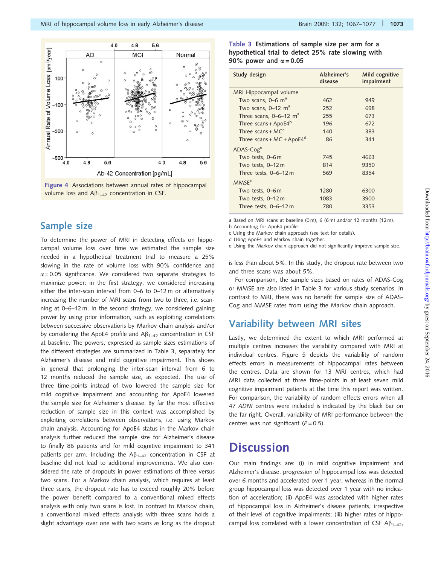

Figure 4 Associations between annual rates of hippocampal volume loss and  $\mathsf{A}\beta_{1-42}$  concentration in CSF.

### Sample size

To determine the power of MRI in detecting effects on hippocampal volume loss over time we estimated the sample size needed in a hypothetical treatment trial to measure a 25% slowing in the rate of volume loss with 90% confidence and  $\alpha$ =0.05 significance. We considered two separate strategies to maximize power: in the first strategy, we considered increasing either the inter-scan interval from 0–6 to 0–12 m or alternatively increasing the number of MRI scans from two to three, i.e. scanning at 0–6–12 m. In the second strategy, we considered gaining power by using prior information, such as exploiting correlations between successive observations by Markov chain analysis and/or by considering the ApoE4 profile and  $AB_{1-42}$  concentration in CSF at baseline. The powers, expressed as sample sizes estimations of the different strategies are summarized in Table 3, separately for Alzheimer's disease and mild cognitive impairment. This shows in general that prolonging the inter-scan interval from 6 to 12 months reduced the sample size, as expected. The use of three time-points instead of two lowered the sample size for mild cognitive impairment and accounting for ApoE4 lowered the sample size for Alzheimer's disease. By far the most effective reduction of sample size in this context was accomplished by exploiting correlations between observations, i.e. using Markov chain analysis. Accounting for ApoE4 status in the Markov chain analysis further reduced the sample size for Alzheimer's disease to finally 86 patients and for mild cognitive impairment to 341 patients per arm. Including the  $\mathsf{AB}_{1-42}$  concentration in CSF at baseline did not lead to additional improvements. We also considered the rate of dropouts in power estimations of three versus two scans. For a Markov chain analysis, which requires at least three scans, the dropout rate has to exceed roughly 20% before the power benefit compared to a conventional mixed effects analysis with only two scans is lost. In contrast to Markov chain, a conventional mixed effects analysis with three scans holds a slight advantage over one with two scans as long as the dropout Table 3 Estimations of sample size per arm for a hypothetical trial to detect 25% rate slowing with 90% power and  $\alpha = 0.05$ 

| Alzheimer's<br>disease | Mild cognitive<br>impairment |  |  |  |
|------------------------|------------------------------|--|--|--|
|                        |                              |  |  |  |
| 462                    | 949                          |  |  |  |
| 252                    | 698                          |  |  |  |
| 255                    | 673                          |  |  |  |
| 196                    | 672                          |  |  |  |
| 140                    | 383                          |  |  |  |
| 86                     | 341                          |  |  |  |
|                        |                              |  |  |  |
| 745                    | 4663                         |  |  |  |
| 814                    | 9350                         |  |  |  |
| 569                    | 8354                         |  |  |  |
|                        |                              |  |  |  |
| 1280                   | 6300                         |  |  |  |
| 1083                   | 3900                         |  |  |  |
| 780                    | 3353                         |  |  |  |
|                        |                              |  |  |  |

a Based on MRI scans at baseline (0 m), 6 (6 m) and/or 12 months (12 m).

b Accounting for ApoE4 profile.

c Using the Markov chain approach (see text for details).

d Using ApoE4 and Markov chain together.

e Using the Markov chain approach did not significantly improve sample size.

is less than about 5%. In this study, the dropout rate between two and three scans was about 5%.

For comparison, the sample sizes based on rates of ADAS-Cog or MMSE are also listed in Table 3 for various study scenarios. In contrast to MRI, there was no benefit for sample size of ADAS-Cog and MMSE rates from using the Markov chain approach.

### Variability between MRI sites

Lastly, we determined the extent to which MRI performed at multiple centres increases the variability compared with MRI at individual centres. Figure 5 depicts the variability of random effects errors in measurements of hippocampal rates between the centres. Data are shown for 13 MRI centres, which had MRI data collected at three time-points in at least seven mild cognitive impairment patients at the time this report was written. For comparison, the variability of random effects errors when all 47 ADNI centres were included is indicated by the black bar on the far right. Overall, variability of MRI performance between the centres was not significant  $(P = 0.5)$ .

# **Discussion**

Our main findings are: (i) in mild cognitive impairment and Alzheimer's disease, progression of hippocampal loss was detected over 6 months and accelerated over 1 year, whereas in the normal group hippocampal loss was detected over 1 year with no indication of acceleration; (ii) ApoE4 was associated with higher rates of hippocampal loss in Alzheimer's disease patients, irrespective of their level of cognitive impairments; (iii) higher rates of hippocampal loss correlated with a lower concentration of CSF  $AB_{1-42}$ ,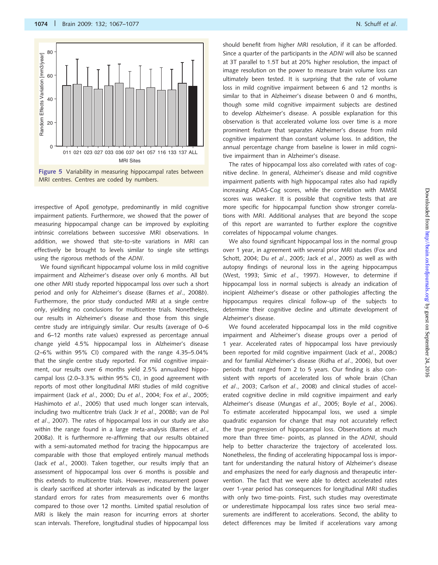

MRI centres. Centres are coded by numbers.

irrespective of ApoE genotype, predominantly in mild cognitive impairment patients. Furthermore, we showed that the power of measuring hippocampal change can be improved by exploiting intrinsic correlations between successive MRI observations. In addition, we showed that site-to-site variations in MRI can effectively be brought to levels similar to single site settings using the rigorous methods of the ADNI.

We found significant hippocampal volume loss in mild cognitive impairment and Alzheimer's disease over only 6 months. All but one other MRI study reported hippocampal loss over such a short period and only for Alzheimer's disease (Barnes et al., 2008b). Furthermore, the prior study conducted MRI at a single centre only, yielding no conclusions for multicentre trials. Nonetheless, our results in Alzheimer's disease and those from this single centre study are intriguingly similar. Our results (average of 0–6 and 6–12 months rate values) expressed as percentage annual change yield 4.5% hippocampal loss in Alzheimer's disease (2–6% within 95% CI) compared with the range 4.35–5.04% that the single centre study reported. For mild cognitive impairment, our results over 6 months yield 2.5% annualized hippocampal loss (2.0–3.3% within 95% CI), in good agreement with reports of most other longitudinal MRI studies of mild cognitive impairment (Jack et al., 2000; Du et al., 2004; Fox et al., 2005; Hashimoto et al., 2005) that used much longer scan intervals, including two multicentre trials (Jack Jr et al., 2008b; van de Pol et al., 2007). The rates of hippocampal loss in our study are also within the range found in a large meta-analysis (Barnes et al., 2008a). It is furthermore re-affirming that our results obtained with a semi-automated method for tracing the hippocampus are comparable with those that employed entirely manual methods (Jack et al., 2000). Taken together, our results imply that an assessment of hippocampal loss over 6 months is possible and this extends to multicentre trials. However, measurement power is clearly sacrificed at shorter intervals as indicated by the larger standard errors for rates from measurements over 6 months compared to those over 12 months. Limited spatial resolution of MRI is likely the main reason for incurring errors at shorter scan intervals. Therefore, longitudinal studies of hippocampal loss should benefit from higher MRI resolution, if it can be afforded. Since a quarter of the participants in the ADNI will also be scanned at 3T parallel to 1.5T but at 20% higher resolution, the impact of image resolution on the power to measure brain volume loss can ultimately been tested. It is surprising that the rate of volume loss in mild cognitive impairment between 6 and 12 months is similar to that in Alzheimer's disease between 0 and 6 months, though some mild cognitive impairment subjects are destined to develop Alzheimer's disease. A possible explanation for this observation is that accelerated volume loss over time is a more prominent feature that separates Alzheimer's disease from mild cognitive impairment than constant volume loss. In addition, the annual percentage change from baseline is lower in mild cognitive impairment than in Alzheimer's disease.

The rates of hippocampal loss also correlated with rates of cognitive decline. In general, Alzheimer's disease and mild cognitive impairment patients with high hippocampal rates also had rapidly increasing ADAS-Cog scores, while the correlation with MMSE scores was weaker. It is possible that cognitive tests that are more specific for hippocampal function show stronger correlations with MRI. Additional analyses that are beyond the scope of this report are warranted to further explore the cognitive correlates of hippocampal volume changes.

We also found significant hippocampal loss in the normal group over 1 year, in agreement with several prior MRI studies (Fox and Schott, 2004; Du et al., 2005; Jack et al., 2005) as well as with autopsy findings of neuronal loss in the ageing hippocampus (West, 1993; Simic et al., 1997). However, to determine if hippocampal loss in normal subjects is already an indication of incipient Alzheimer's disease or other pathologies affecting the hippocampus requires clinical follow-up of the subjects to determine their cognitive decline and ultimate development of Alzheimer's disease.

We found accelerated hippocampal loss in the mild cognitive impairment and Alzheimer's disease groups over a period of 1 year. Accelerated rates of hippocampal loss have previously been reported for mild cognitive impairment (Jack et al., 2008c) and for familial Alzheimer's disease (Ridha et al., 2006), but over periods that ranged from 2 to 5 years. Our finding is also consistent with reports of accelerated loss of whole brain (Chan et al., 2003; Carlson et al., 2008) and clinical studies of accelerated cognitive decline in mild cognitive impairment and early Alzheimer's disease (Mungas et al., 2005; Boyle et al., 2006). To estimate accelerated hippocampal loss, we used a simple quadratic expansion for change that may not accurately reflect the true progression of hippocampal loss. Observations at much more than three time- points, as planned in the ADNI, should help to better characterize the trajectory of accelerated loss. Nonetheless, the finding of accelerating hippocampal loss is important for understanding the natural history of Alzheimer's disease and emphasizes the need for early diagnosis and therapeutic intervention. The fact that we were able to detect accelerated rates over 1-year period has consequences for longitudinal MRI studies with only two time-points. First, such studies may overestimate or underestimate hippocampal loss rates since two serial measurements are indifferent to accelerations. Second, the ability to detect differences may be limited if accelerations vary among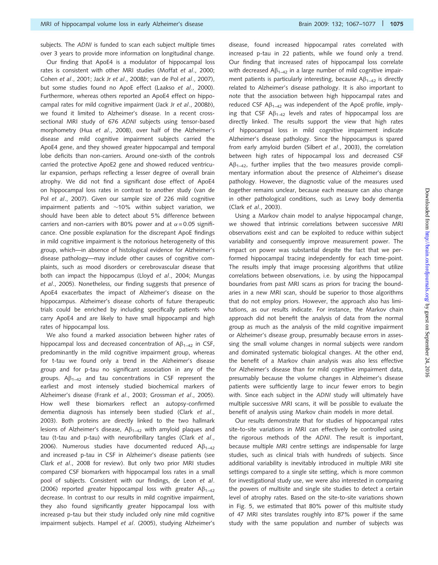subjects. The ADNI is funded to scan each subject multiple times over 3 years to provide more information on longitudinal change.

Our finding that ApoE4 is a modulator of hippocampal loss rates is consistent with other MRI studies (Moffat et al., 2000; Cohen et al., 2001; Jack Jr et al., 2008b; van de Pol et al., 2007), but some studies found no ApoE effect (Laakso et al., 2000). Furthermore, whereas others reported an ApoE4 effect on hippocampal rates for mild cognitive impairment (Jack Jr et al., 2008b), we found it limited to Alzheimer's disease. In a recent crosssectional MRI study of 676 ADNI subjects using tensor-based morphometry (Hua et al., 2008), over half of the Alzheimer's disease and mild cognitive impairment subjects carried the ApoE4 gene, and they showed greater hippocampal and temporal lobe deficits than non-carriers. Around one-sixth of the controls carried the protective ApoE2 gene and showed reduced ventricular expansion, perhaps reflecting a lesser degree of overall brain atrophy. We did not find a significant dose effect of ApoE4 on hippocampal loss rates in contrast to another study (van de Pol et al., 2007). Given our sample size of 226 mild cognitive impairment patients and  $\sim$ 10% within subject variation, we should have been able to detect about 5% difference between carriers and non-carriers with 80% power and at  $\alpha$  = 0.05 significance. One possible explanation for the discrepant ApoE findings in mild cognitive impairment is the notorious heterogeneity of this group, which—in absence of histological evidence for Alzheimer's disease pathology—may include other causes of cognitive complaints, such as mood disorders or cerebrovascular disease that both can impact the hippocampus (Lloyd et al., 2004; Mungas et al., 2005). Nonetheless, our finding suggests that presence of ApoE4 exacerbates the impact of Alzheimer's disease on the hippocampus. Alzheimer's disease cohorts of future therapeutic trials could be enriched by including specifically patients who carry ApoE4 and are likely to have small hippocampi and high rates of hippocampal loss.

We also found a marked association between higher rates of hippocampal loss and decreased concentration of  $AB_{1-42}$  in CSF, predominantly in the mild cognitive impairment group, whereas for t-tau we found only a trend in the Alzheimer's disease group and for p-tau no significant association in any of the groups.  $\mathsf{AB}_{1-42}$  and tau concentrations in CSF represent the earliest and most intensely studied biochemical markers of Alzheimer's disease (Frank et al., 2003; Grossman et al., 2005). How well these biomarkers reflect an autopsy-confirmed dementia diagnosis has intensely been studied (Clark et al., 2003). Both proteins are directly linked to the two hallmark lesions of Alzheimer's disease,  $AB_{1-42}$  with amyloid plaques and tau (t-tau and p-tau) with neurofibrillary tangles (Clark et al., 2006). Numerous studies have documented reduced  $AB_{1-42}$ and increased p-tau in CSF in Alzheimer's disease patients (see Clark et al., 2008 for review). But only two prior MRI studies compared CSF biomarkers with hippocampal loss rates in a small pool of subjects. Consistent with our findings, de Leon et al. (2006) reported greater hippocampal loss with greater  $AB_{1-42}$ decrease. In contrast to our results in mild cognitive impairment, they also found significantly greater hippocampal loss with increased p-tau but their study included only nine mild cognitive impairment subjects. Hampel et al. (2005), studying Alzheimer's disease, found increased hippocampal rates correlated with increased p-tau in 22 patients, while we found only a trend. Our finding that increased rates of hippocampal loss correlate with decreased  $\mathsf{AB}_{1-42}$  in a large number of mild cognitive impairment patients is particularly interesting, because  $AB_{1-42}$  is directly related to Alzheimer's disease pathology. It is also important to note that the association between high hippocampal rates and reduced CSF  $\mathsf{AB}_{1-42}$  was independent of the ApoE profile, implying that CSF  $AB_{1-42}$  levels and rates of hippocampal loss are directly linked. The results support the view that high rates of hippocampal loss in mild cognitive impairment indicate Alzheimer's disease pathology. Since the hippocampus is spared from early amyloid burden (Silbert et al., 2003), the correlation between high rates of hippocampal loss and decreased CSF  $AB_{1-42}$ , further implies that the two measures provide complimentary information about the presence of Alzheimer's disease pathology. However, the diagnostic value of the measures used together remains unclear, because each measure can also change in other pathological conditions, such as Lewy body dementia (Clark et al., 2003).

Using a Markov chain model to analyse hippocampal change, we showed that intrinsic correlations between successive MRI observations exist and can be exploited to reduce within subject variability and consequently improve measurement power. The impact on power was substantial despite the fact that we performed hippocampal tracing independently for each time-point. The results imply that image processing algorithms that utilize correlations between observations, i.e. by using the hippocampal boundaries from past MRI scans as priors for tracing the boundaries in a new MRI scan, should be superior to those algorithms that do not employ priors. However, the approach also has limitations, as our results indicate. For instance, the Markov chain approach did not benefit the analysis of data from the normal group as much as the analysis of the mild cognitive impairment or Alzheimer's disease group, presumably because errors in assessing the small volume changes in normal subjects were random and dominated systematic biological changes. At the other end, the benefit of a Markov chain analysis was also less effective for Alzheimer's disease than for mild cognitive impairment data, presumably because the volume changes in Alzheimer's disease patients were sufficiently large to incur fewer errors to begin with. Since each subject in the ADNI study will ultimately have multiple successive MRI scans, it will be possible to evaluate the benefit of analysis using Markov chain models in more detail.

Our results demonstrate that for studies of hippocampal rates site-to-site variations in MRI can effectively be controlled using the rigorous methods of the ADNI. The result is important, because multiple MRI centre settings are indispensable for large studies, such as clinical trials with hundreds of subjects. Since additional variability is inevitably introduced in multiple MRI site settings compared to a single site setting, which is more common for investigational study use, we were also interested in comparing the powers of multisite and single site studies to detect a certain level of atrophy rates. Based on the site-to-site variations shown in Fig. 5, we estimated that 80% power of this multisite study of 47 MRI sites translates roughly into 87% power if the same study with the same population and number of subjects was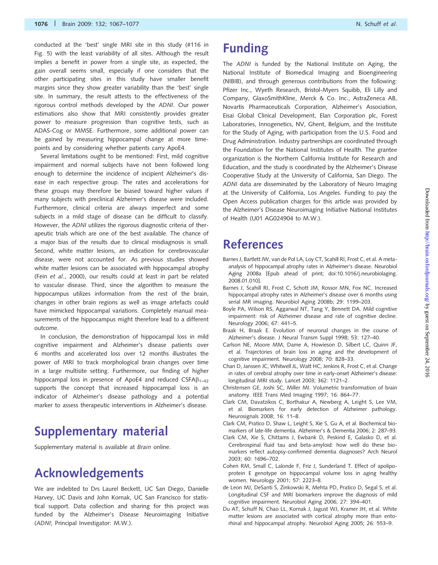conducted at the 'best' single MRI site in this study (#116 in Fig. 5) with the least variability of all sites. Although the result implies a benefit in power from a single site, as expected, the gain overall seems small, especially if one considers that the other participating sites in this study have smaller benefit margins since they show greater variability than the 'best' single site. In summary, the result attests to the effectiveness of the rigorous control methods developed by the ADNI. Our power estimations also show that MRI consistently provides greater power to measure progression than cognitive tests, such as ADAS-Cog or MMSE. Furthermore, some additional power can be gained by measuring hippocampal change at more timepoints and by considering whether patients carry ApoE4.

Several limitations ought to be mentioned: First, mild cognitive impairment and normal subjects have not been followed long enough to determine the incidence of incipient Alzheimer's disease in each respective group. The rates and accelerations for these groups may therefore be biased toward higher values if many subjects with preclinical Alzheimer's disease were included. Furthermore, clinical criteria are always imperfect and some subjects in a mild stage of disease can be difficult to classify. However, the ADNI utilizes the rigorous diagnostic criteria of therapeutic trials which are one of the best available. The chance of a major bias of the results due to clinical misdiagnosis is small. Second, white matter lesions, an indication for cerebrovascular disease, were not accounted for. As previous studies showed white matter lesions can be associated with hippocampal atrophy (Fein et al., 2000), our results could at least in part be related to vascular disease. Third, since the algorithm to measure the hippocampus utilizes information from the rest of the brain, changes in other brain regions as well as image artefacts could have mimicked hippocampal variations. Completely manual measurements of the hippocampus might therefore lead to a different outcome.

In conclusion, the demonstration of hippocampal loss in mild cognitive impairment and Alzheimer's disease patients over 6 months and accelerated loss over 12 months illustrates the power of MRI to track morphological brain changes over time in a large multisite setting. Furthermore, our finding of higher hippocampal loss in presence of ApoE4 and reduced CSFA $\beta_{1-42}$ supports the concept that increased hippocampal loss is an indicator of Alzheimer's disease pathology and a potential marker to assess therapeutic interventions in Alzheimer's disease.

# Supplementary material

Supplementary material is available at Brain online.

# Acknowledgements

We are indebted to Drs Laurel Beckett, UC San Diego, Danielle Harvey, UC Davis and John Kornak, UC San Francisco for statistical support. Data collection and sharing for this project was funded by the Alzheimer's Disease Neuroimaging Initiative (ADNI; Principal Investigator: M.W.).

# Funding

The ADNI is funded by the National Institute on Aging, the National Institute of Biomedical Imaging and Bioengineering (NIBIB), and through generous contributions from the following: Pfizer Inc., Wyeth Research, Bristol-Myers Squibb, Eli Lilly and Company, GlaxoSmithKline, Merck & Co. Inc., AstraZeneca AB, Novartis Pharmaceuticals Corporation, Alzheimer's Association, Eisai Global Clinical Development, Elan Corporation plc, Forest Laboratories, Innogenetics, NV, Ghent, Belgium, and the Institute for the Study of Aging, with participation from the U.S. Food and Drug Administration. Industry partnerships are coordinated through the Foundation for the National Institutes of Health. The grantee organization is the Northern California Institute for Research and Education, and the study is coordinated by the Alzheimer's Disease Cooperative Study at the University of California, San Diego. The ADNI data are disseminated by the Laboratory of Neuro Imaging at the University of California, Los Angeles. Funding to pay the Open Access publication charges for this article was provided by the Alzheimer's Disease Neuroimaging Initiative National Institutes of Health (U01 AG024904 to M.W.).

### References

- Barnes J, Bartlett JW, van de Pol LA, Loy CT, Scahill RI, Frost C, et al. A metaanalysis of hippocampal atrophy rates in Alzheimer's disease. Neurobiol Aging 2008a [Epub ahead of print; doi:10.1016/j.neurobiolaging. 2008.01.010].
- Barnes J, Scahill RI, Frost C, Schott JM, Rossor MN, Fox NC. Increased hippocampal atrophy rates in Alzheimer's disease over 6 months using serial MR imaging. Neurobiol Aging 2008b; 29: 1199–203.
- Boyle PA, Wilson RS, Aggarwal NT, Tang Y, Bennett DA. Mild cognitive impairment: risk of Alzheimer disease and rate of cognitive decline. Neurology 2006; 67: 441–5.
- Braak H, Braak E. Evolution of neuronal changes in the course of Alzheimer's disease. J Neural Transm Suppl 1998; 53: 127–40.
- Carlson NE, Moore MM, Dame A, Howieson D, Silbert LC, Quinn JF, et al. Trajectories of brain loss in aging and the development of cognitive impairment. Neurology 2008; 70: 828–33.
- Chan D, Janssen JC, Whitwell JL, Watt HC, Jenkins R, Frost C, et al. Change in rates of cerebral atrophy over time in early-onset Alzheimer's disease: longitudinal MRI study. Lancet 2003; 362: 1121–2.
- Christensen GE, Joshi SC, Miller MI. Volumetric transformation of brain anatomy. IEEE Trans Med Imaging 1997; 16: 864–77.
- Clark CM, Davatzikos C, Borthakur A, Newberg A, Leight S, Lee VM, et al. Biomarkers for early detection of Alzheimer pathology. Neurosignals 2008; 16: 11–8.
- Clark CM, Pratico D, Shaw L, Leight S, Xie S, Gu A, et al. Biochemical biomarkers of late-life dementia. Alzheimer's & Dementia 2006; 2: 287–93.
- Clark CM, Xie S, Chittams J, Ewbank D, Peskind E, Galasko D, et al. Cerebrospinal fluid tau and beta-amyloid: how well do these biomarkers reflect autopsy-confirmed dementia diagnoses? Arch Neurol 2003; 60: 1696–702.
- Cohen RM, Small C, Lalonde F, Friz J, Sunderland T. Effect of apolipoprotein E genotype on hippocampal volume loss in aging healthy women. Neurology 2001; 57: 2223–8.
- de Leon MJ, DeSanti S, Zinkowski R, Mehta PD, Pratico D, Segal S, et al. Longitudinal CSF and MRI biomarkers improve the diagnosis of mild cognitive impairment. Neurobiol Aging 2006; 27: 394–401.
- Du AT, Schuff N, Chao LL, Kornak J, Jagust WJ, Kramer JH, et al. White matter lesions are associated with cortical atrophy more than entorhinal and hippocampal atrophy. Neurobiol Aging 2005; 26: 553–9.